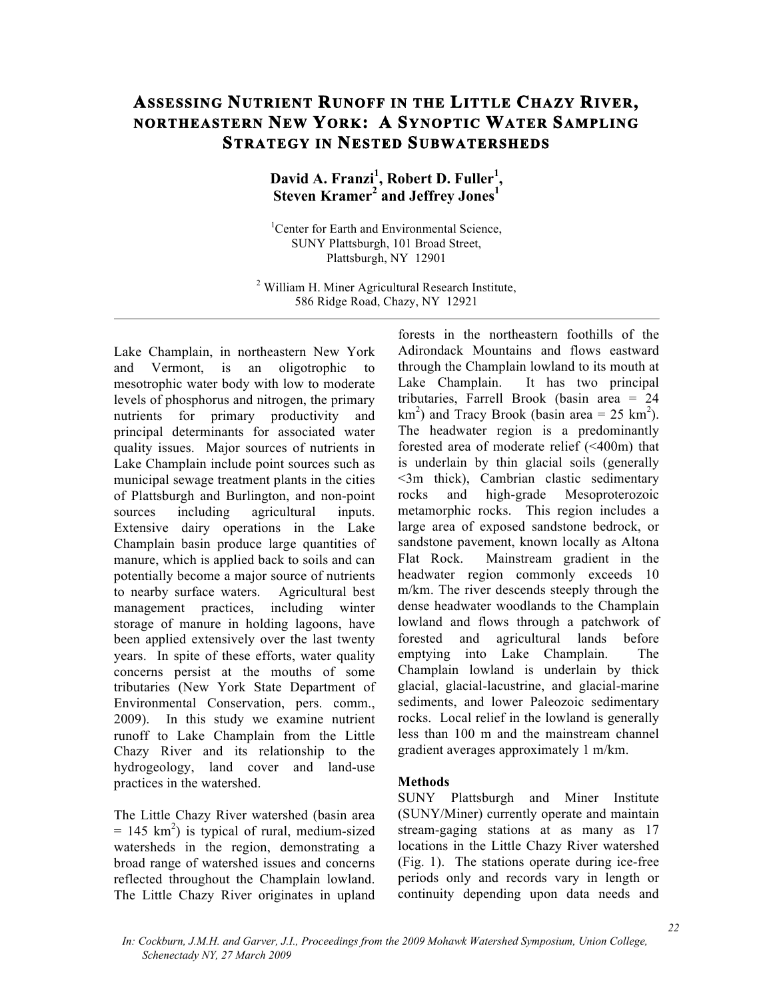# **ASSESSING NUTRIENT RUNOFF IN THE LITTLE CHAZY RIVER, NORTHEASTERN NEW YORK: A SYNOPTIC WATER SAMPLING STRATEGY IN NESTED SUBWATERSHEDS**

## David A. Franzi<sup>1</sup>, Robert D. Fuller<sup>1</sup>, **Steven Kramer2 and Jeffrey Jones<sup>1</sup>**

<sup>1</sup>Center for Earth and Environmental Science, SUNY Plattsburgh, 101 Broad Street, Plattsburgh, NY 12901

<sup>2</sup> William H. Miner Agricultural Research Institute, 586 Ridge Road, Chazy, NY 12921

Lake Champlain, in northeastern New York and Vermont, is an oligotrophic to mesotrophic water body with low to moderate levels of phosphorus and nitrogen, the primary nutrients for primary productivity and principal determinants for associated water quality issues. Major sources of nutrients in Lake Champlain include point sources such as municipal sewage treatment plants in the cities of Plattsburgh and Burlington, and non-point sources including agricultural inputs. Extensive dairy operations in the Lake Champlain basin produce large quantities of manure, which is applied back to soils and can potentially become a major source of nutrients to nearby surface waters. Agricultural best management practices, including winter storage of manure in holding lagoons, have been applied extensively over the last twenty years. In spite of these efforts, water quality concerns persist at the mouths of some tributaries (New York State Department of Environmental Conservation, pers. comm., 2009). In this study we examine nutrient runoff to Lake Champlain from the Little Chazy River and its relationship to the hydrogeology, land cover and land-use practices in the watershed.

The Little Chazy River watershed (basin area  $= 145$  km<sup>2</sup>) is typical of rural, medium-sized watersheds in the region, demonstrating a broad range of watershed issues and concerns reflected throughout the Champlain lowland. The Little Chazy River originates in upland

forests in the northeastern foothills of the Adirondack Mountains and flows eastward through the Champlain lowland to its mouth at Lake Champlain. It has two principal tributaries, Farrell Brook (basin area = 24  $\text{km}^2$ ) and Tracy Brook (basin area = 25 km<sup>2</sup>). The headwater region is a predominantly forested area of moderate relief (<400m) that is underlain by thin glacial soils (generally <3m thick), Cambrian clastic sedimentary rocks and high-grade Mesoproterozoic metamorphic rocks. This region includes a large area of exposed sandstone bedrock, or sandstone pavement, known locally as Altona Flat Rock. Mainstream gradient in the headwater region commonly exceeds 10 m/km. The river descends steeply through the dense headwater woodlands to the Champlain lowland and flows through a patchwork of forested and agricultural lands before emptying into Lake Champlain. The Champlain lowland is underlain by thick glacial, glacial-lacustrine, and glacial-marine sediments, and lower Paleozoic sedimentary rocks. Local relief in the lowland is generally less than 100 m and the mainstream channel gradient averages approximately 1 m/km.

#### **Methods**

SUNY Plattsburgh and Miner Institute (SUNY/Miner) currently operate and maintain stream-gaging stations at as many as 17 locations in the Little Chazy River watershed (Fig. 1). The stations operate during ice-free periods only and records vary in length or continuity depending upon data needs and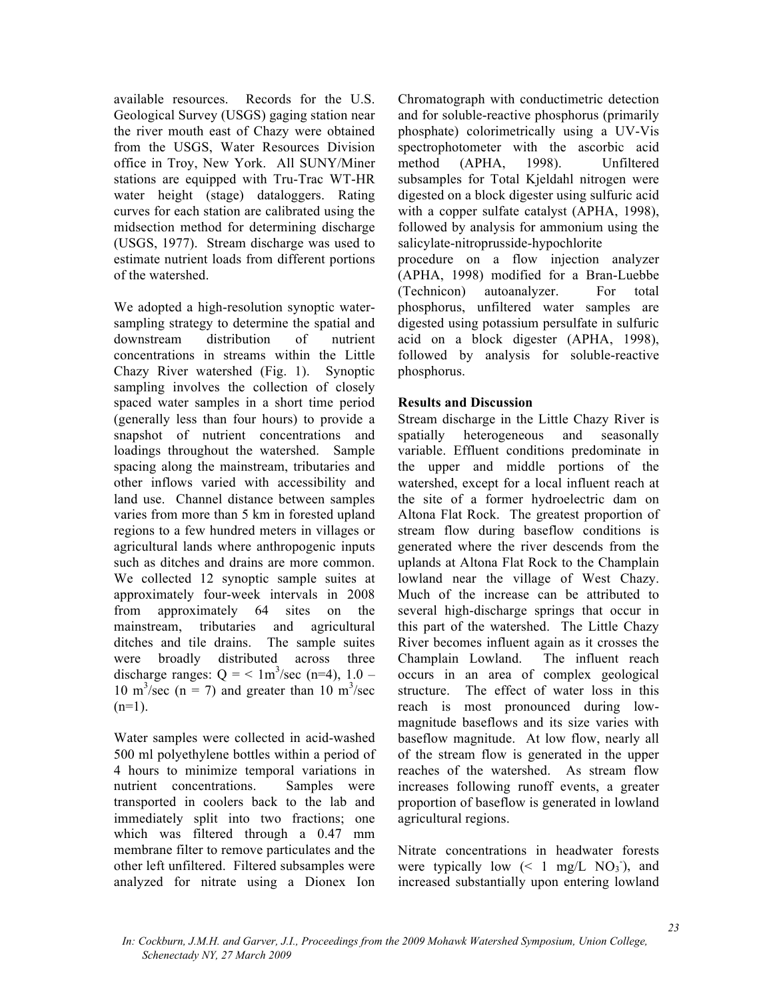available resources. Records for the U.S. Geological Survey (USGS) gaging station near the river mouth east of Chazy were obtained from the USGS, Water Resources Division office in Troy, New York. All SUNY/Miner stations are equipped with Tru-Trac WT-HR water height (stage) dataloggers. Rating curves for each station are calibrated using the midsection method for determining discharge (USGS, 1977). Stream discharge was used to estimate nutrient loads from different portions of the watershed.

We adopted a high-resolution synoptic watersampling strategy to determine the spatial and downstream distribution of nutrient concentrations in streams within the Little Chazy River watershed (Fig. 1). Synoptic sampling involves the collection of closely spaced water samples in a short time period (generally less than four hours) to provide a snapshot of nutrient concentrations and loadings throughout the watershed. Sample spacing along the mainstream, tributaries and other inflows varied with accessibility and land use. Channel distance between samples varies from more than 5 km in forested upland regions to a few hundred meters in villages or agricultural lands where anthropogenic inputs such as ditches and drains are more common. We collected 12 synoptic sample suites at approximately four-week intervals in 2008 from approximately 64 sites on the mainstream, tributaries and agricultural ditches and tile drains. The sample suites were broadly distributed across three discharge ranges:  $Q = \langle 1 \text{m}^3/\text{sec} \text{ (n=4)}, 1.0 \text{ -}1$ 10 m<sup>3</sup>/sec (n = 7) and greater than 10 m<sup>3</sup>/sec  $(n=1)$ .

Water samples were collected in acid-washed 500 ml polyethylene bottles within a period of 4 hours to minimize temporal variations in nutrient concentrations. Samples were transported in coolers back to the lab and immediately split into two fractions; one which was filtered through a 0.47 mm membrane filter to remove particulates and the other left unfiltered. Filtered subsamples were analyzed for nitrate using a Dionex Ion

Chromatograph with conductimetric detection and for soluble-reactive phosphorus (primarily phosphate) colorimetrically using a UV-Vis spectrophotometer with the ascorbic acid method (APHA, 1998). Unfiltered subsamples for Total Kjeldahl nitrogen were digested on a block digester using sulfuric acid with a copper sulfate catalyst (APHA, 1998), followed by analysis for ammonium using the salicylate-nitroprusside-hypochlorite

procedure on a flow injection analyzer (APHA, 1998) modified for a Bran-Luebbe (Technicon) autoanalyzer. For total phosphorus, unfiltered water samples are digested using potassium persulfate in sulfuric acid on a block digester (APHA, 1998), followed by analysis for soluble-reactive phosphorus.

### **Results and Discussion**

Stream discharge in the Little Chazy River is spatially heterogeneous and seasonally variable. Effluent conditions predominate in the upper and middle portions of the watershed, except for a local influent reach at the site of a former hydroelectric dam on Altona Flat Rock. The greatest proportion of stream flow during baseflow conditions is generated where the river descends from the uplands at Altona Flat Rock to the Champlain lowland near the village of West Chazy. Much of the increase can be attributed to several high-discharge springs that occur in this part of the watershed. The Little Chazy River becomes influent again as it crosses the Champlain Lowland. The influent reach occurs in an area of complex geological structure. The effect of water loss in this reach is most pronounced during lowmagnitude baseflows and its size varies with baseflow magnitude. At low flow, nearly all of the stream flow is generated in the upper reaches of the watershed. As stream flow increases following runoff events, a greater proportion of baseflow is generated in lowland agricultural regions.

Nitrate concentrations in headwater forests were typically low  $(< 1$  mg/L NO<sub>3</sub><sup>'</sup>), and increased substantially upon entering lowland